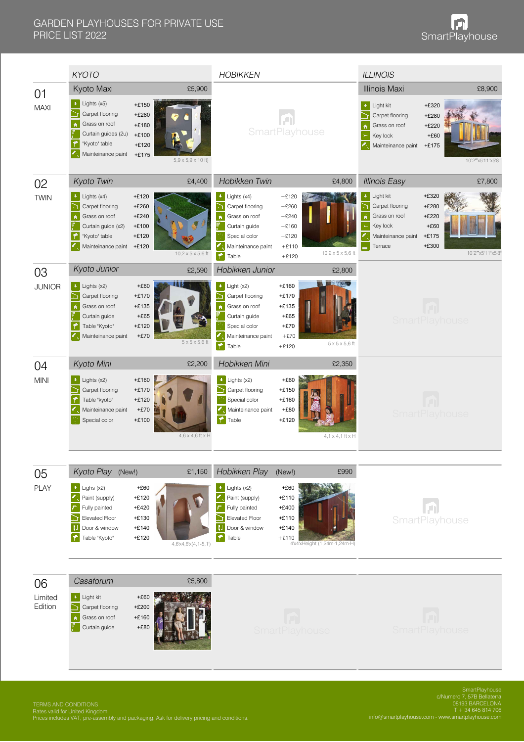|                          | <b>KYOTO</b>                                                                                                                                         |                                                                                                 | <b>HOBIKKEN</b>                                                                                                                                                        |                                                                                               |                                  | <b>ILLINOIS</b>                                                                                                   |                                                                                   |
|--------------------------|------------------------------------------------------------------------------------------------------------------------------------------------------|-------------------------------------------------------------------------------------------------|------------------------------------------------------------------------------------------------------------------------------------------------------------------------|-----------------------------------------------------------------------------------------------|----------------------------------|-------------------------------------------------------------------------------------------------------------------|-----------------------------------------------------------------------------------|
| 01<br><b>MAXI</b>        | Kyoto Maxi<br>$\bullet$ Lights (x5)<br>Carpet flooring<br>Grass on roof<br>Curtain guides (2u)<br>"Kyoto" table<br>Mainteinance paint +£175          | £5,900<br>$+£150$<br>$+£280$<br>$+£180$<br>$+£100$<br>$+£120$<br>$5,9 \times 5,9 \times 10$ ft) |                                                                                                                                                                        | SmartPlayhouse                                                                                |                                  | <b>Illinois Maxi</b><br>$\bullet$ Light kit<br>Carpet flooring<br>Grass on roof<br>Key lock<br>Mainteinance paint | £8,900<br>$+£320$<br>+£280<br>$+£220$<br>$+£60$<br>$+£175$<br>10'2"x5'11"x5'8"    |
| 02                       | Kyoto Twin                                                                                                                                           | £4,400                                                                                          | Hobikken Twin                                                                                                                                                          |                                                                                               | £4,800                           | <b>Illinois Easy</b>                                                                                              | £7,800                                                                            |
| <b>TWIN</b>              | $\bullet$ : Lights (x4)<br>Carpet flooring<br>Grass on roof<br>$\hat{\mathbf{n}}$<br>Curtain guide (x2)<br>"Kyoto" table<br>Mainteinance paint +£120 | $+£120$<br>$+£260$<br>$+£240$<br>$+£100$<br>$+£120$<br>$10,2 \times 5 \times 5,6$ ft            | $\bullet$ : Lights (x4)<br>Carpet flooring<br>h<br>Grass on roof<br>$\hat{\mathbf{n}}$<br>Curtain guide<br>Special color<br>Mainteinance paint<br>$\blackcap$<br>Table | $+£120$<br>$+£260$<br>$+£240$<br>$+£160$<br>$+£120$<br>$+£110$<br>$+£120$                     | $10,2 \times 5 \times 5,6$ ft    | Light kit<br>ě<br>Carpet flooring<br>Grass on roof<br>Key lock<br>Mainteinance paint<br>Terrace                   | $+£320$<br>$+£280$<br>$+£220$<br>$+£60$<br>$+£175$<br>$+£300$<br>10'2"x5'11"x5'8' |
| 03                       | Kyoto Junior                                                                                                                                         | £2,590                                                                                          | Hobikken Junior                                                                                                                                                        |                                                                                               | £2,800                           |                                                                                                                   |                                                                                   |
| <b>JUNIOR</b>            | Lights (x2)<br>÷.<br>Carpet flooring<br>∍<br>Grass on roof<br>$\hat{\mathbf{n}}$<br>Curtain guide<br>Table "Kyoto"<br>Mainteinance paint             | $+£60$<br>$+£170$<br>$+£135$<br>$+£65$<br>$+£120$<br>$+£70$<br>$5 \times 5 \times 5,6$ ft       | $\bullet$ Light (x2)<br>Carpet flooring<br>D<br>Grass on roof<br>Curtain guide<br>Special color<br>Mainteinance paint<br>$\blacktriangleright$<br>Table                | $+£160$<br>$+£170$<br>$+£135$<br>$+£65$<br>$+£70$<br>$+£70$<br>$+£120$                        | $5 \times 5 \times 5,6$ ft       |                                                                                                                   | <b>SmartPlayhouse</b>                                                             |
| 04                       | Kyoto Mini                                                                                                                                           | £2,200                                                                                          | Hobikken Mini                                                                                                                                                          |                                                                                               | £2,350                           |                                                                                                                   |                                                                                   |
| <b>MINI</b>              | $\bullet$ : Lights (x2)<br>Carpet flooring<br>۴<br>Table "kyoto"<br>Mainteinance paint<br>Special color                                              | $+£160$<br>$+£170$<br>$+£120$<br>$+£70$<br>$+£100$<br>$4,6 \times 4,6$ ft $\times$ H            | $\bullet$ : Lights (x2)<br>Carpet flooring<br>Special color<br>Mainteinance paint<br>◚<br>Table                                                                        | $+£60$<br>$+£150$<br>$+£160$<br>$+£80$<br>$+£120$                                             | $4, 1 \times 4, 1$ ft $\times$ H |                                                                                                                   | <b>SmartPlayhouse</b>                                                             |
|                          | Kyoto Play (New!)                                                                                                                                    | £1,150                                                                                          | Hobikken Play                                                                                                                                                          | (New!)                                                                                        | £990                             |                                                                                                                   |                                                                                   |
| 05<br><b>PLAY</b>        | $\bullet$ : Lighs (x2)<br>Paint (supply)<br>Fully painted<br><b>Elevated Floor</b><br>Ð<br>Door & window<br>Table "Kyoto"                            | $+£60$<br>$+£120$<br>$+\pounds420$<br>$+£130$<br>$+£140$<br>$+£120$<br>$4,6x4,6x4,1-5,1$        | $\bullet$ : Lights (x2)<br>Paint (supply)<br>Fully painted<br><b>Elevated Floor</b><br><u>ী</u><br><b>Door &amp; window</b><br><b>Table</b>                            | $+£60$<br>$+£110$<br>$+£400$<br>$+£110$<br>$+£140$<br>$+£110$<br>4'x4'xHeight (1,24m·1,24m·H) |                                  |                                                                                                                   | ٠J<br>SmartPlayhouse                                                              |
|                          |                                                                                                                                                      |                                                                                                 |                                                                                                                                                                        |                                                                                               |                                  |                                                                                                                   |                                                                                   |
| 06<br>Limited<br>Edition | Casaforum<br><b>b</b> Light kit<br>Carpet flooring<br>Grass on roof<br>$\hat{\mathbf{n}}$<br>Curtain guide                                           | £5,800<br>$+£60$<br>$+£200$<br>$+£160$<br>$+£80$                                                |                                                                                                                                                                        | <b>SmartPlayhouse</b>                                                                         |                                  |                                                                                                                   | <b>SmartPlayhouse</b>                                                             |

TERMS AND CONDITIONS Rates valid for United Kingdom Prices includes VAT, pre-assembly and packaging. Ask for delivery pricing and conditions.

SmartPlayhouse c/Numero 7, 57B Bellaterra 08193 BARCELONA T + 34 645 814 706 info@smartplayhouse.com - www.smartplayhouse.com